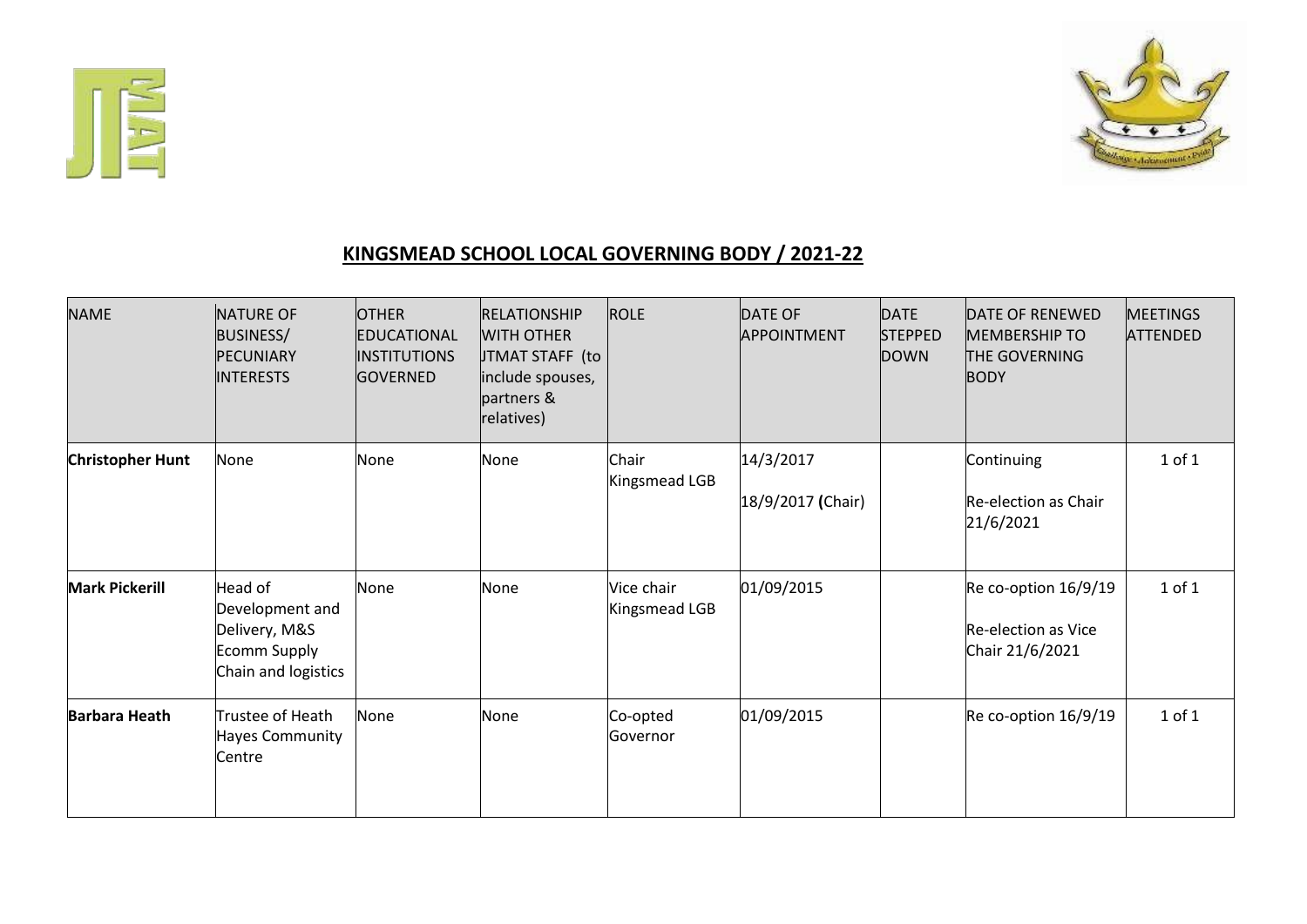



## **KINGSMEAD SCHOOL LOCAL GOVERNING BODY / 2021-22**

| <b>NAME</b>             | <b>NATURE OF</b><br><b>BUSINESS/</b><br>PECUNIARY<br><b>INTERESTS</b>              | <b>OTHER</b><br><b>EDUCATIONAL</b><br><b>INSTITUTIONS</b><br><b>GOVERNED</b> | <b>RELATIONSHIP</b><br><b>WITH OTHER</b><br>JTMAT STAFF (to<br>include spouses,<br>partners &<br>relatives) | <b>ROLE</b>                 | <b>DATE OF</b><br><b>APPOINTMENT</b> | <b>DATE</b><br><b>STEPPED</b><br><b>DOWN</b> | DATE OF RENEWED<br><b>MEMBERSHIP TO</b><br><b>THE GOVERNING</b><br><b>BODY</b> | <b>MEETINGS</b><br><b>ATTENDED</b> |
|-------------------------|------------------------------------------------------------------------------------|------------------------------------------------------------------------------|-------------------------------------------------------------------------------------------------------------|-----------------------------|--------------------------------------|----------------------------------------------|--------------------------------------------------------------------------------|------------------------------------|
| <b>Christopher Hunt</b> | None                                                                               | None                                                                         | None                                                                                                        | Chair<br>Kingsmead LGB      | 14/3/2017<br>18/9/2017 (Chair)       |                                              | Continuing<br>Re-election as Chair<br>21/6/2021                                | 1 of 1                             |
| <b>Mark Pickerill</b>   | Head of<br>Development and<br>Delivery, M&S<br>Ecomm Supply<br>Chain and logistics | None                                                                         | None                                                                                                        | Vice chair<br>Kingsmead LGB | 01/09/2015                           |                                              | Re co-option 16/9/19<br><b>Re-election as Vice</b><br>Chair 21/6/2021          | $1$ of $1$                         |
| <b>Barbara Heath</b>    | Trustee of Heath<br><b>Hayes Community</b><br>Centre                               | None                                                                         | None                                                                                                        | Co-opted<br>Governor        | 01/09/2015                           |                                              | Re co-option 16/9/19                                                           | $1$ of $1$                         |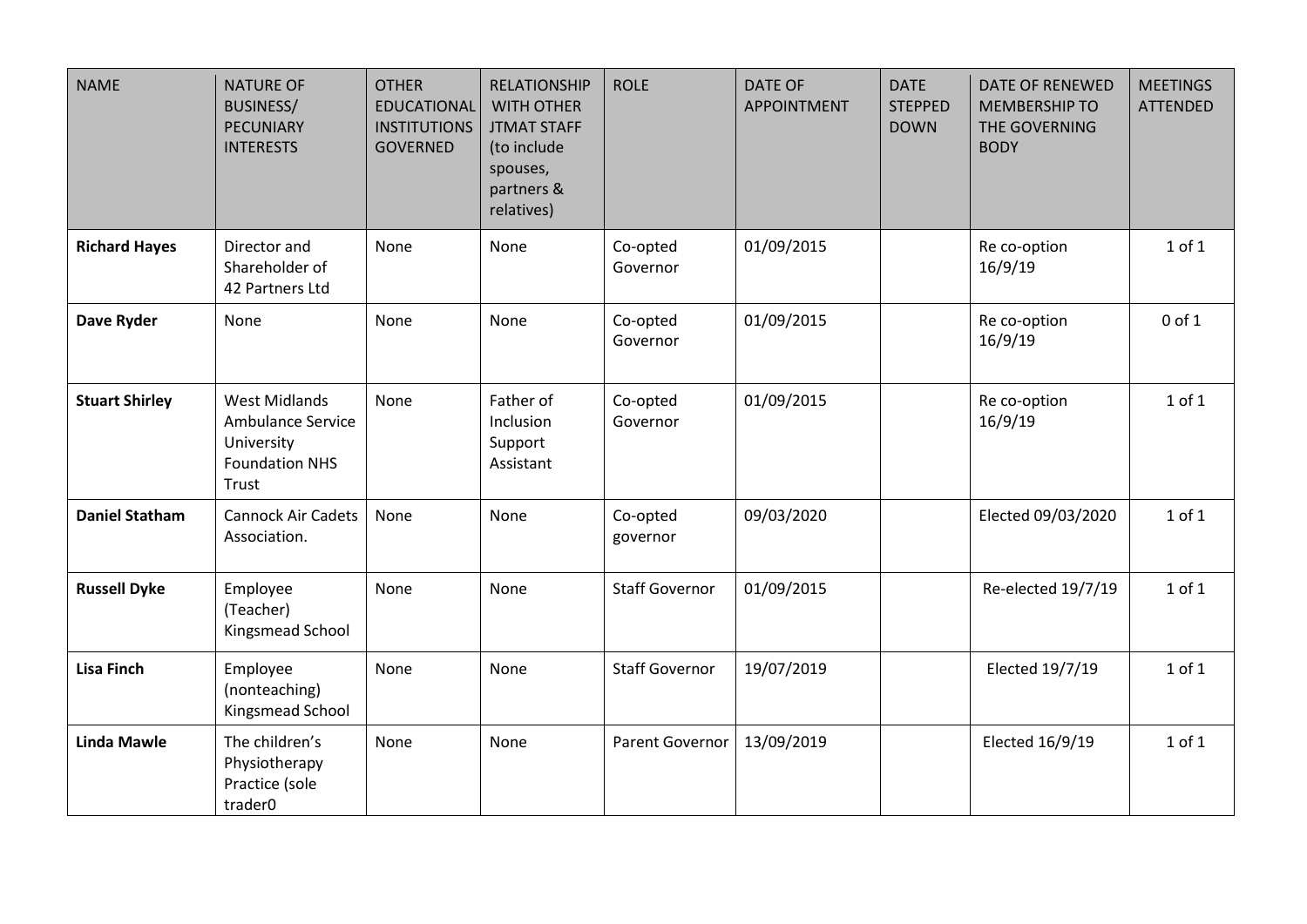| <b>NAME</b>           | <b>NATURE OF</b><br><b>BUSINESS/</b><br><b>PECUNIARY</b><br><b>INTERESTS</b>              | <b>OTHER</b><br><b>EDUCATIONAL</b><br><b>INSTITUTIONS</b><br><b>GOVERNED</b> | <b>RELATIONSHIP</b><br><b>WITH OTHER</b><br><b>JTMAT STAFF</b><br>(to include<br>spouses,<br>partners &<br>relatives) | <b>ROLE</b>           | <b>DATE OF</b><br><b>APPOINTMENT</b> | <b>DATE</b><br><b>STEPPED</b><br><b>DOWN</b> | <b>DATE OF RENEWED</b><br><b>MEMBERSHIP TO</b><br>THE GOVERNING<br><b>BODY</b> | <b>MEETINGS</b><br><b>ATTENDED</b> |
|-----------------------|-------------------------------------------------------------------------------------------|------------------------------------------------------------------------------|-----------------------------------------------------------------------------------------------------------------------|-----------------------|--------------------------------------|----------------------------------------------|--------------------------------------------------------------------------------|------------------------------------|
| <b>Richard Hayes</b>  | Director and<br>Shareholder of<br>42 Partners Ltd                                         | None                                                                         | None                                                                                                                  | Co-opted<br>Governor  | 01/09/2015                           |                                              | Re co-option<br>16/9/19                                                        | $1$ of $1$                         |
| Dave Ryder            | None                                                                                      | None                                                                         | None                                                                                                                  | Co-opted<br>Governor  | 01/09/2015                           |                                              | Re co-option<br>16/9/19                                                        | $0$ of $1$                         |
| <b>Stuart Shirley</b> | <b>West Midlands</b><br>Ambulance Service<br>University<br><b>Foundation NHS</b><br>Trust | None                                                                         | Father of<br>Inclusion<br>Support<br>Assistant                                                                        | Co-opted<br>Governor  | 01/09/2015                           |                                              | Re co-option<br>16/9/19                                                        | $1$ of $1$                         |
| <b>Daniel Statham</b> | Cannock Air Cadets<br>Association.                                                        | None                                                                         | None                                                                                                                  | Co-opted<br>governor  | 09/03/2020                           |                                              | Elected 09/03/2020                                                             | $1$ of $1$                         |
| <b>Russell Dyke</b>   | Employee<br>(Teacher)<br>Kingsmead School                                                 | None                                                                         | None                                                                                                                  | <b>Staff Governor</b> | 01/09/2015                           |                                              | Re-elected 19/7/19                                                             | $1$ of $1$                         |
| <b>Lisa Finch</b>     | Employee<br>(nonteaching)<br>Kingsmead School                                             | None                                                                         | None                                                                                                                  | <b>Staff Governor</b> | 19/07/2019                           |                                              | Elected 19/7/19                                                                | $1$ of $1$                         |
| <b>Linda Mawle</b>    | The children's<br>Physiotherapy<br>Practice (sole<br>trader0                              | None                                                                         | None                                                                                                                  | Parent Governor       | 13/09/2019                           |                                              | Elected 16/9/19                                                                | $1$ of $1$                         |